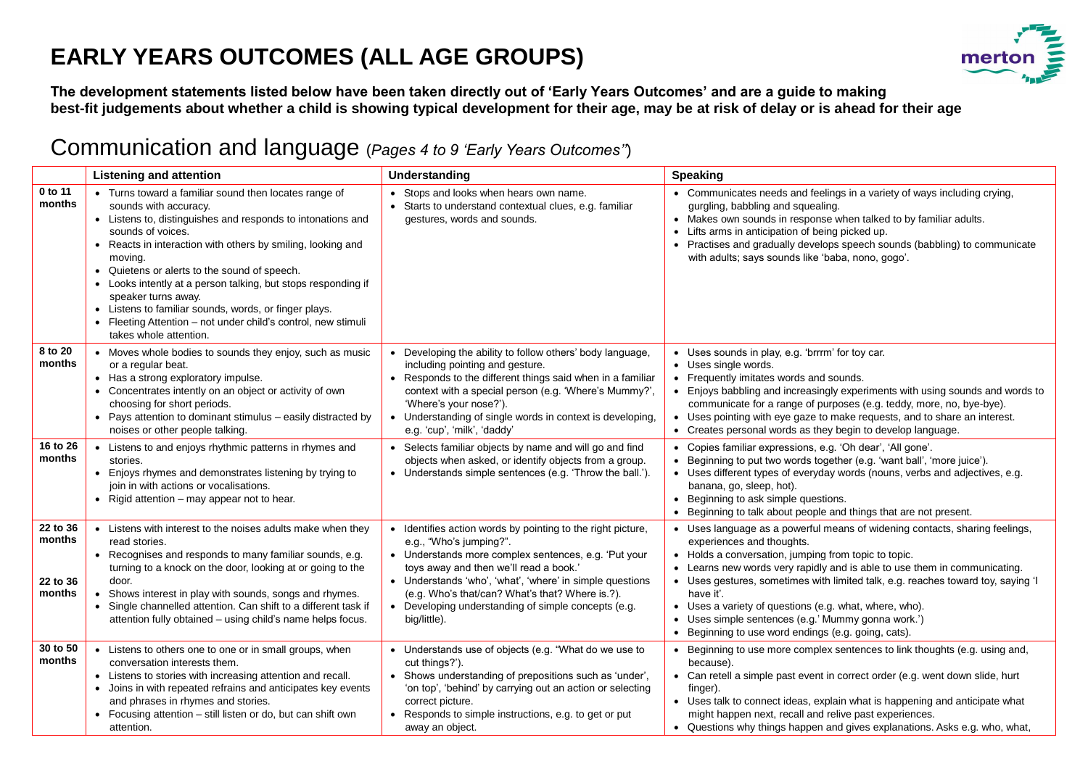#### **EARLY YEARS OUTCOMES (ALL AGE GROUPS)**



**The development statements listed below have been taken directly out of 'Early Years Outcomes' and are a guide to making best-fit judgements about whether a child is showing typical development for their age, may be at risk of delay or is ahead for their age**

#### Communication and language (*Pages 4 to 9 'Early Years Outcomes''*)

|                                          | <b>Listening and attention</b>                                                                                                                                                                                                                                                                                                                                                                                                                                                                                                                                 | Understanding                                                                                                                                                                                                                                                                                                                                                                  | <b>Speaking</b>                                                                                                                                                                                                                                                                                                                                                                                                                                                                                                       |
|------------------------------------------|----------------------------------------------------------------------------------------------------------------------------------------------------------------------------------------------------------------------------------------------------------------------------------------------------------------------------------------------------------------------------------------------------------------------------------------------------------------------------------------------------------------------------------------------------------------|--------------------------------------------------------------------------------------------------------------------------------------------------------------------------------------------------------------------------------------------------------------------------------------------------------------------------------------------------------------------------------|-----------------------------------------------------------------------------------------------------------------------------------------------------------------------------------------------------------------------------------------------------------------------------------------------------------------------------------------------------------------------------------------------------------------------------------------------------------------------------------------------------------------------|
| 0 to 11<br>months                        | • Turns toward a familiar sound then locates range of<br>sounds with accuracy.<br>• Listens to, distinguishes and responds to intonations and<br>sounds of voices.<br>• Reacts in interaction with others by smiling, looking and<br>moving.<br>Quietens or alerts to the sound of speech.<br>$\bullet$<br>• Looks intently at a person talking, but stops responding if<br>speaker turns away.<br>Listens to familiar sounds, words, or finger plays.<br>$\bullet$<br>• Fleeting Attention - not under child's control, new stimuli<br>takes whole attention. | • Stops and looks when hears own name.<br>• Starts to understand contextual clues, e.g. familiar<br>gestures, words and sounds.                                                                                                                                                                                                                                                | • Communicates needs and feelings in a variety of ways including crying,<br>gurgling, babbling and squealing.<br>• Makes own sounds in response when talked to by familiar adults.<br>• Lifts arms in anticipation of being picked up.<br>• Practises and gradually develops speech sounds (babbling) to communicate<br>with adults; says sounds like 'baba, nono, gogo'.                                                                                                                                             |
| 8 to 20<br>months                        | • Moves whole bodies to sounds they enjoy, such as music<br>or a regular beat.<br>• Has a strong exploratory impulse.<br>• Concentrates intently on an object or activity of own<br>choosing for short periods.<br>• Pays attention to dominant stimulus - easily distracted by<br>noises or other people talking.                                                                                                                                                                                                                                             | • Developing the ability to follow others' body language,<br>including pointing and gesture.<br>• Responds to the different things said when in a familiar<br>context with a special person (e.g. 'Where's Mummy?',<br>'Where's your nose?').<br>• Understanding of single words in context is developing,<br>e.g. 'cup', 'milk', 'daddy'                                      | • Uses sounds in play, e.g. 'brrrm' for toy car.<br>• Uses single words.<br>• Frequently imitates words and sounds.<br>• Enjoys babbling and increasingly experiments with using sounds and words to<br>communicate for a range of purposes (e.g. teddy, more, no, bye-bye).<br>• Uses pointing with eye gaze to make requests, and to share an interest.<br>• Creates personal words as they begin to develop language.                                                                                              |
| 16 to 26<br>months                       | • Listens to and enjoys rhythmic patterns in rhymes and<br>stories.<br>• Enjoys rhymes and demonstrates listening by trying to<br>join in with actions or vocalisations.<br>• Rigid attention – may appear not to hear.                                                                                                                                                                                                                                                                                                                                        | • Selects familiar objects by name and will go and find<br>objects when asked, or identify objects from a group.<br>• Understands simple sentences (e.g. 'Throw the ball.').                                                                                                                                                                                                   | • Copies familiar expressions, e.g. 'Oh dear', 'All gone'.<br>• Beginning to put two words together (e.g. 'want ball', 'more juice').<br>• Uses different types of everyday words (nouns, verbs and adjectives, e.g.<br>banana, go, sleep, hot).<br>• Beginning to ask simple questions.<br>• Beginning to talk about people and things that are not present.                                                                                                                                                         |
| 22 to 36<br>months<br>22 to 36<br>months | • Listens with interest to the noises adults make when they<br>read stories.<br>• Recognises and responds to many familiar sounds, e.g.<br>turning to a knock on the door, looking at or going to the<br>door.<br>Shows interest in play with sounds, songs and rhymes.<br>Single channelled attention. Can shift to a different task if<br>$\bullet$<br>attention fully obtained - using child's name helps focus.                                                                                                                                            | • Identifies action words by pointing to the right picture,<br>e.g., "Who's jumping?".<br>• Understands more complex sentences, e.g. 'Put your<br>toys away and then we'll read a book.'<br>• Understands 'who', 'what', 'where' in simple questions<br>(e.g. Who's that/can? What's that? Where is.?).<br>• Developing understanding of simple concepts (e.g.<br>big/little). | • Uses language as a powerful means of widening contacts, sharing feelings,<br>experiences and thoughts.<br>• Holds a conversation, jumping from topic to topic.<br>• Learns new words very rapidly and is able to use them in communicating.<br>• Uses gestures, sometimes with limited talk, e.g. reaches toward toy, saying 'I<br>have it'.<br>• Uses a variety of questions (e.g. what, where, who).<br>• Uses simple sentences (e.g.' Mummy gonna work.')<br>• Beginning to use word endings (e.g. going, cats). |
| 30 to 50<br>months                       | Listens to others one to one or in small groups, when<br>conversation interests them.<br>• Listens to stories with increasing attention and recall.<br>• Joins in with repeated refrains and anticipates key events<br>and phrases in rhymes and stories.<br>• Focusing attention - still listen or do, but can shift own<br>attention.                                                                                                                                                                                                                        | • Understands use of objects (e.g. "What do we use to<br>cut things?').<br>• Shows understanding of prepositions such as 'under',<br>'on top', 'behind' by carrying out an action or selecting<br>correct picture.<br>• Responds to simple instructions, e.g. to get or put<br>away an object.                                                                                 | • Beginning to use more complex sentences to link thoughts (e.g. using and,<br>because).<br>• Can retell a simple past event in correct order (e.g. went down slide, hurt<br>finger).<br>• Uses talk to connect ideas, explain what is happening and anticipate what<br>might happen next, recall and relive past experiences.<br>• Questions why things happen and gives explanations. Asks e.g. who, what,                                                                                                          |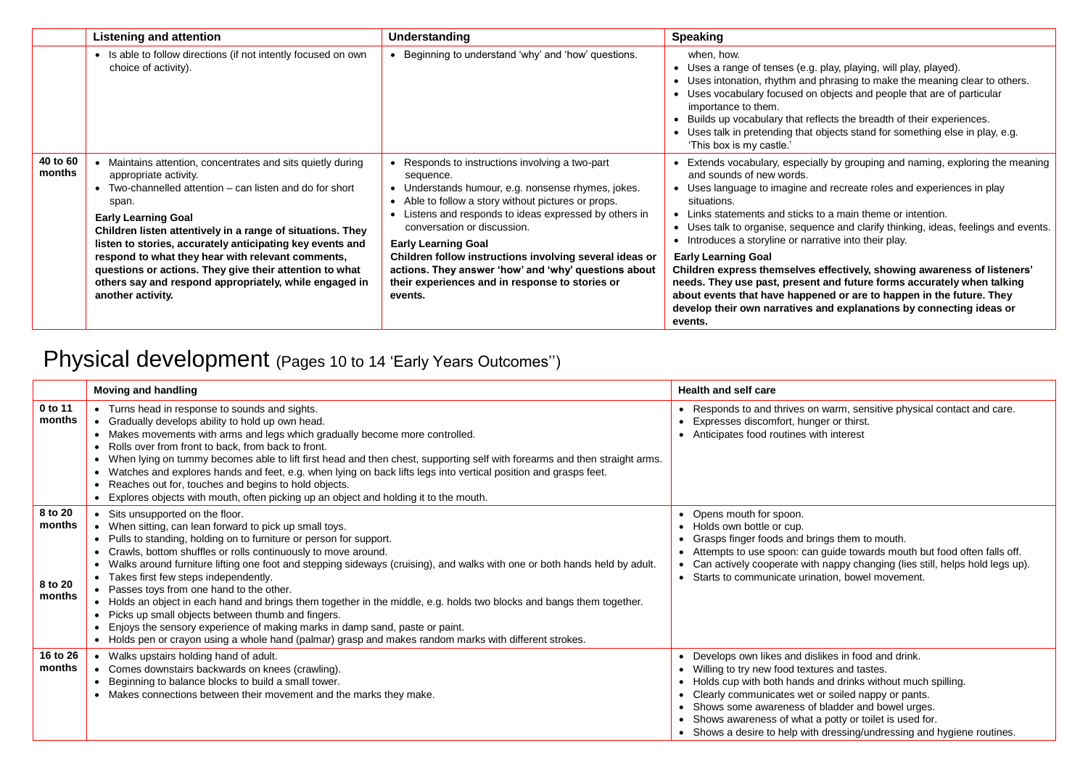|                    | Listening and attention                                                                                                                                                                                                                                                                                                                                                                                                                                                                                         | Understanding                                                                                                                                                                                                                                                                                                                                                                                                                                                                 | <b>Speaking</b>                                                                                                                                                                                                                                                                                                                                                                                                                                                                                                                                                                                                                                                                                                                                                 |
|--------------------|-----------------------------------------------------------------------------------------------------------------------------------------------------------------------------------------------------------------------------------------------------------------------------------------------------------------------------------------------------------------------------------------------------------------------------------------------------------------------------------------------------------------|-------------------------------------------------------------------------------------------------------------------------------------------------------------------------------------------------------------------------------------------------------------------------------------------------------------------------------------------------------------------------------------------------------------------------------------------------------------------------------|-----------------------------------------------------------------------------------------------------------------------------------------------------------------------------------------------------------------------------------------------------------------------------------------------------------------------------------------------------------------------------------------------------------------------------------------------------------------------------------------------------------------------------------------------------------------------------------------------------------------------------------------------------------------------------------------------------------------------------------------------------------------|
|                    | • Is able to follow directions (if not intently focused on own<br>choice of activity).                                                                                                                                                                                                                                                                                                                                                                                                                          | • Beginning to understand 'why' and 'how' questions.                                                                                                                                                                                                                                                                                                                                                                                                                          | when, how.<br>• Uses a range of tenses (e.g. play, playing, will play, played).<br>• Uses intonation, rhythm and phrasing to make the meaning clear to others.<br>• Uses vocabulary focused on objects and people that are of particular<br>importance to them.<br>Builds up vocabulary that reflects the breadth of their experiences.<br>• Uses talk in pretending that objects stand for something else in play, e.g.<br>'This box is my castle.'                                                                                                                                                                                                                                                                                                            |
| 40 to 60<br>months | Maintains attention, concentrates and sits quietly during<br>appropriate activity.<br>• Two-channelled attention – can listen and do for short<br>span.<br><b>Early Learning Goal</b><br>Children listen attentively in a range of situations. They<br>listen to stories, accurately anticipating key events and<br>respond to what they hear with relevant comments,<br>questions or actions. They give their attention to what<br>others say and respond appropriately, while engaged in<br>another activity. | Responds to instructions involving a two-part<br>sequence.<br>• Understands humour, e.g. nonsense rhymes, jokes.<br>• Able to follow a story without pictures or props.<br>Listens and responds to ideas expressed by others in<br>conversation or discussion.<br><b>Early Learning Goal</b><br>Children follow instructions involving several ideas or<br>actions. They answer 'how' and 'why' questions about<br>their experiences and in response to stories or<br>events. | Extends vocabulary, especially by grouping and naming, exploring the meaning<br>and sounds of new words.<br>• Uses language to imagine and recreate roles and experiences in play<br>situations.<br>• Links statements and sticks to a main theme or intention.<br>• Uses talk to organise, sequence and clarify thinking, ideas, feelings and events.<br>• Introduces a storyline or narrative into their play.<br><b>Early Learning Goal</b><br>Children express themselves effectively, showing awareness of listeners'<br>needs. They use past, present and future forms accurately when talking<br>about events that have happened or are to happen in the future. They<br>develop their own narratives and explanations by connecting ideas or<br>events. |

# Physical development (Pages 10 to 14 'Early Years Outcomes")

|                                        | <b>Moving and handling</b>                                                                                                                                                                                                                                                                                                                                                                                                                                                                                                                                                                                                                                                                                                                                                                                                 | <b>Health and self care</b>                                                                                                                                                                                                                                                                                                                                                                                          |
|----------------------------------------|----------------------------------------------------------------------------------------------------------------------------------------------------------------------------------------------------------------------------------------------------------------------------------------------------------------------------------------------------------------------------------------------------------------------------------------------------------------------------------------------------------------------------------------------------------------------------------------------------------------------------------------------------------------------------------------------------------------------------------------------------------------------------------------------------------------------------|----------------------------------------------------------------------------------------------------------------------------------------------------------------------------------------------------------------------------------------------------------------------------------------------------------------------------------------------------------------------------------------------------------------------|
| 0 to 11<br>months                      | • Turns head in response to sounds and sights.<br>Gradually develops ability to hold up own head.<br>Makes movements with arms and legs which gradually become more controlled.<br>Rolls over from front to back, from back to front.<br>When lying on tummy becomes able to lift first head and then chest, supporting self with forearms and then straight arms.<br>$\bullet$<br>Watches and explores hands and feet, e.g. when lying on back lifts legs into vertical position and grasps feet.<br>Reaches out for, touches and begins to hold objects.<br>Explores objects with mouth, often picking up an object and holding it to the mouth.                                                                                                                                                                         | Responds to and thrives on warm, sensitive physical contact and care.<br>Expresses discomfort, hunger or thirst.<br>• Anticipates food routines with interest                                                                                                                                                                                                                                                        |
| 8 to 20<br>months<br>8 to 20<br>months | Sits unsupported on the floor.<br>When sitting, can lean forward to pick up small toys.<br>• Pulls to standing, holding on to furniture or person for support.<br>Crawls, bottom shuffles or rolls continuously to move around.<br>Walks around furniture lifting one foot and stepping sideways (cruising), and walks with one or both hands held by adult.<br>• Takes first few steps independently.<br>• Passes toys from one hand to the other.<br>• Holds an object in each hand and brings them together in the middle, e.g. holds two blocks and bangs them together.<br>Picks up small objects between thumb and fingers.<br>Enjoys the sensory experience of making marks in damp sand, paste or paint.<br>• Holds pen or crayon using a whole hand (palmar) grasp and makes random marks with different strokes. | Opens mouth for spoon.<br>• Holds own bottle or cup.<br>Grasps finger foods and brings them to mouth.<br>Attempts to use spoon: can guide towards mouth but food often falls off.<br>Can actively cooperate with nappy changing (lies still, helps hold legs up).<br>Starts to communicate urination, bowel movement.                                                                                                |
| 16 to 26<br>months                     | Walks upstairs holding hand of adult.<br>Comes downstairs backwards on knees (crawling).<br>Beginning to balance blocks to build a small tower.<br>• Makes connections between their movement and the marks they make.                                                                                                                                                                                                                                                                                                                                                                                                                                                                                                                                                                                                     | Develops own likes and dislikes in food and drink.<br>Willing to try new food textures and tastes.<br>• Holds cup with both hands and drinks without much spilling.<br>• Clearly communicates wet or soiled nappy or pants.<br>Shows some awareness of bladder and bowel urges.<br>Shows awareness of what a potty or toilet is used for.<br>• Shows a desire to help with dressing/undressing and hygiene routines. |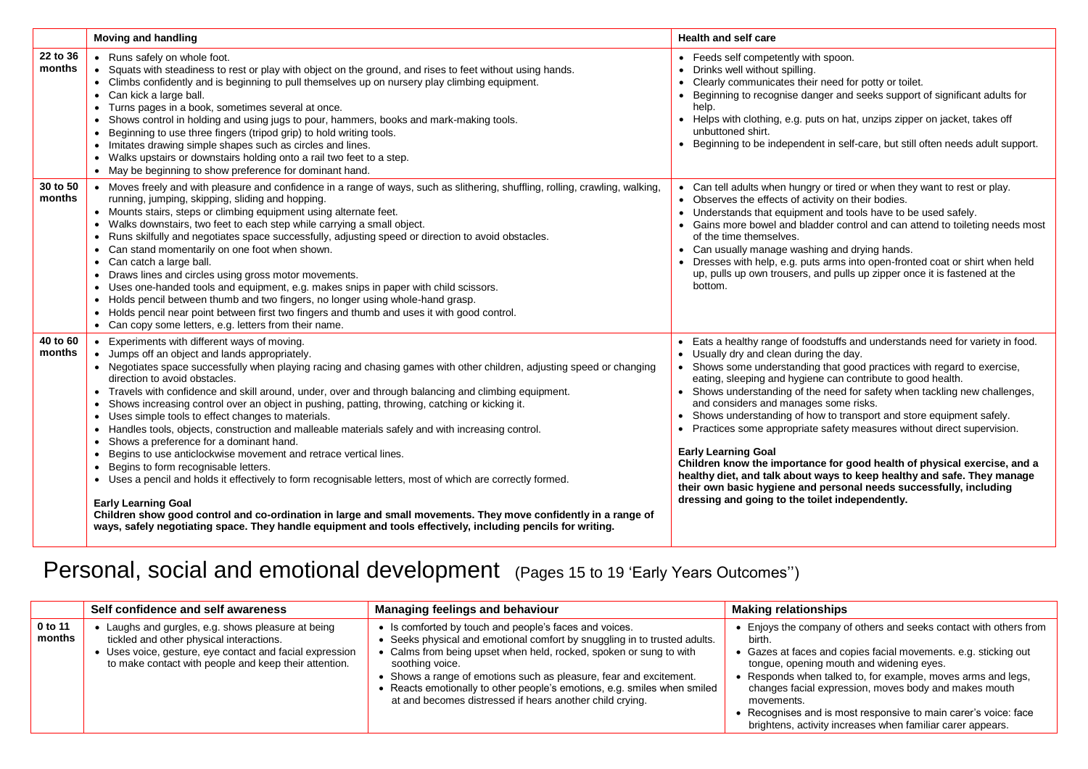|                    | <b>Moving and handling</b>                                                                                                                                                                                                                                                                                                                                                                                                                                                                                                                                                                                                                                                                                                                                                                                                                                                                                                                                                                                                                                                                                                                                                                                   | <b>Health and self care</b>                                                                                                                                                                                                                                                                                                                                                                                                                                                                                                                                                                                                                                                                                                                                                                                                                                          |  |
|--------------------|--------------------------------------------------------------------------------------------------------------------------------------------------------------------------------------------------------------------------------------------------------------------------------------------------------------------------------------------------------------------------------------------------------------------------------------------------------------------------------------------------------------------------------------------------------------------------------------------------------------------------------------------------------------------------------------------------------------------------------------------------------------------------------------------------------------------------------------------------------------------------------------------------------------------------------------------------------------------------------------------------------------------------------------------------------------------------------------------------------------------------------------------------------------------------------------------------------------|----------------------------------------------------------------------------------------------------------------------------------------------------------------------------------------------------------------------------------------------------------------------------------------------------------------------------------------------------------------------------------------------------------------------------------------------------------------------------------------------------------------------------------------------------------------------------------------------------------------------------------------------------------------------------------------------------------------------------------------------------------------------------------------------------------------------------------------------------------------------|--|
| 22 to 36<br>months | • Runs safely on whole foot.<br>• Squats with steadiness to rest or play with object on the ground, and rises to feet without using hands.<br>• Climbs confidently and is beginning to pull themselves up on nursery play climbing equipment.<br>• Can kick a large ball.<br>• Turns pages in a book, sometimes several at once.<br>• Shows control in holding and using jugs to pour, hammers, books and mark-making tools.<br>Beginning to use three fingers (tripod grip) to hold writing tools.<br>$\bullet$<br>• Imitates drawing simple shapes such as circles and lines.<br>• Walks upstairs or downstairs holding onto a rail two feet to a step.<br>• May be beginning to show preference for dominant hand.                                                                                                                                                                                                                                                                                                                                                                                                                                                                                        | • Feeds self competently with spoon.<br>• Drinks well without spilling.<br>• Clearly communicates their need for potty or toilet.<br>• Beginning to recognise danger and seeks support of significant adults for<br>help.<br>• Helps with clothing, e.g. puts on hat, unzips zipper on jacket, takes off<br>unbuttoned shirt.<br>• Beginning to be independent in self-care, but still often needs adult support.                                                                                                                                                                                                                                                                                                                                                                                                                                                    |  |
| 30 to 50<br>months | • Moves freely and with pleasure and confidence in a range of ways, such as slithering, shuffling, rolling, crawling, walking,<br>running, jumping, skipping, sliding and hopping.<br>• Mounts stairs, steps or climbing equipment using alternate feet.<br>• Walks downstairs, two feet to each step while carrying a small object.<br>• Runs skilfully and negotiates space successfully, adjusting speed or direction to avoid obstacles.<br>• Can stand momentarily on one foot when shown.<br>• Can catch a large ball.<br>• Draws lines and circles using gross motor movements.<br>• Uses one-handed tools and equipment, e.g. makes snips in paper with child scissors.<br>Holds pencil between thumb and two fingers, no longer using whole-hand grasp.<br>$\bullet$<br>• Holds pencil near point between first two fingers and thumb and uses it with good control.<br>• Can copy some letters, e.g. letters from their name.                                                                                                                                                                                                                                                                      | • Can tell adults when hungry or tired or when they want to rest or play.<br>• Observes the effects of activity on their bodies.<br>• Understands that equipment and tools have to be used safely.<br>• Gains more bowel and bladder control and can attend to toileting needs most<br>of the time themselves.<br>• Can usually manage washing and drying hands.<br>• Dresses with help, e.g. puts arms into open-fronted coat or shirt when held<br>up, pulls up own trousers, and pulls up zipper once it is fastened at the<br>bottom.                                                                                                                                                                                                                                                                                                                            |  |
| 40 to 60<br>months | Experiments with different ways of moving.<br>• Jumps off an object and lands appropriately.<br>• Negotiates space successfully when playing racing and chasing games with other children, adjusting speed or changing<br>direction to avoid obstacles.<br>• Travels with confidence and skill around, under, over and through balancing and climbing equipment.<br>• Shows increasing control over an object in pushing, patting, throwing, catching or kicking it.<br>• Uses simple tools to effect changes to materials.<br>Handles tools, objects, construction and malleable materials safely and with increasing control.<br>$\bullet$<br>• Shows a preference for a dominant hand.<br>Begins to use anticlockwise movement and retrace vertical lines.<br>$\bullet$<br>Begins to form recognisable letters.<br>$\bullet$<br>• Uses a pencil and holds it effectively to form recognisable letters, most of which are correctly formed.<br><b>Early Learning Goal</b><br>Children show good control and co-ordination in large and small movements. They move confidently in a range of<br>ways, safely negotiating space. They handle equipment and tools effectively, including pencils for writing. | Eats a healthy range of foodstuffs and understands need for variety in food.<br>• Usually dry and clean during the day.<br>• Shows some understanding that good practices with regard to exercise,<br>eating, sleeping and hygiene can contribute to good health.<br>• Shows understanding of the need for safety when tackling new challenges,<br>and considers and manages some risks.<br>Shows understanding of how to transport and store equipment safely.<br>Practices some appropriate safety measures without direct supervision.<br>$\bullet$<br><b>Early Learning Goal</b><br>Children know the importance for good health of physical exercise, and a<br>healthy diet, and talk about ways to keep healthy and safe. They manage<br>their own basic hygiene and personal needs successfully, including<br>dressing and going to the toilet independently. |  |

# Personal, social and emotional development (Pages 15 to 19 'Early Years Outcomes")

|                   | Self confidence and self awareness                                                                                                                                                                                | <b>Managing feelings and behaviour</b>                                                                                                                                                                                                                                                                                                                                                                                             | <b>Making relationships</b>                                                                                                                                                                                                                                                                                                                                                                                                                                        |
|-------------------|-------------------------------------------------------------------------------------------------------------------------------------------------------------------------------------------------------------------|------------------------------------------------------------------------------------------------------------------------------------------------------------------------------------------------------------------------------------------------------------------------------------------------------------------------------------------------------------------------------------------------------------------------------------|--------------------------------------------------------------------------------------------------------------------------------------------------------------------------------------------------------------------------------------------------------------------------------------------------------------------------------------------------------------------------------------------------------------------------------------------------------------------|
| 0 to 11<br>months | Laughs and gurgles, e.g. shows pleasure at being<br>tickled and other physical interactions.<br>• Uses voice, gesture, eye contact and facial expression<br>to make contact with people and keep their attention. | • Is comforted by touch and people's faces and voices.<br>Seeks physical and emotional comfort by snuggling in to trusted adults.<br>Calms from being upset when held, rocked, spoken or sung to with<br>soothing voice.<br>Shows a range of emotions such as pleasure, fear and excitement.<br>Reacts emotionally to other people's emotions, e.g. smiles when smiled<br>at and becomes distressed if hears another child crying. | • Enjoys the company of others and seeks contact with others from<br>birth.<br>• Gazes at faces and copies facial movements. e.g. sticking out<br>tongue, opening mouth and widening eyes.<br>• Responds when talked to, for example, moves arms and legs,<br>changes facial expression, moves body and makes mouth<br>movements.<br>• Recognises and is most responsive to main carer's voice: face<br>brightens, activity increases when familiar carer appears. |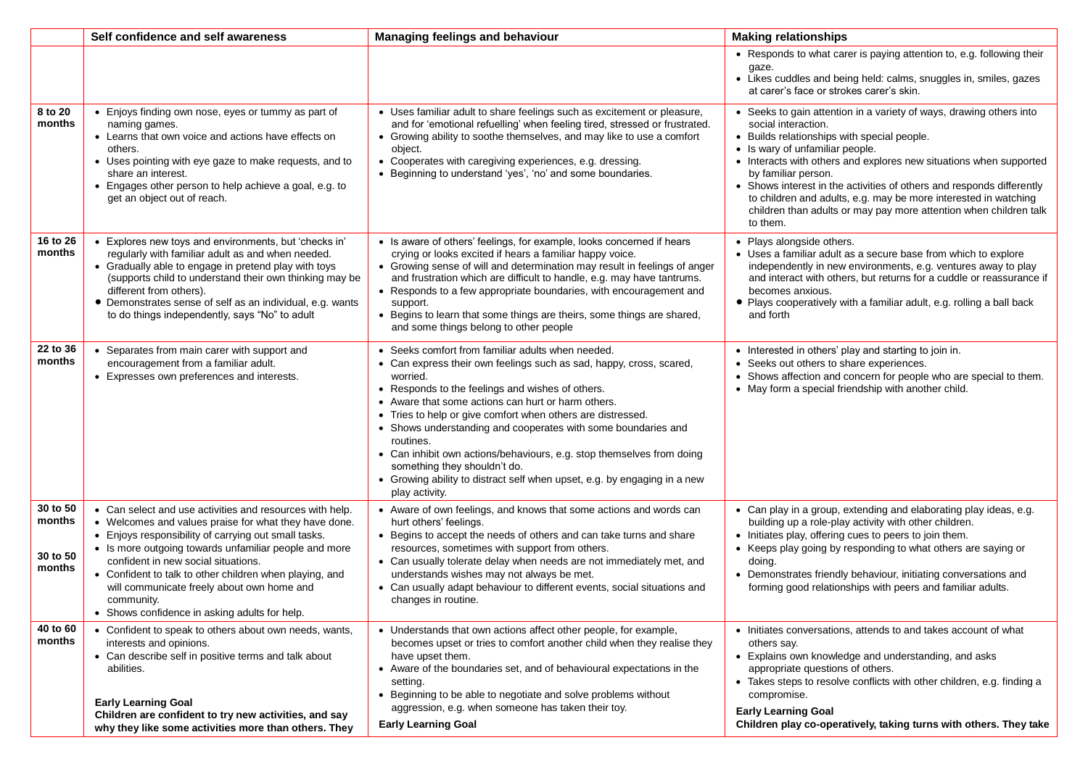|                                          | Self confidence and self awareness                                                                                                                                                                                                                                                                                                                                                                                                                | <b>Managing feelings and behaviour</b>                                                                                                                                                                                                                                                                                                                                                                                                                                                                                                                                                             | <b>Making relationships</b>                                                                                                                                                                                                                                                                                                                                                                                                                                                                            |
|------------------------------------------|---------------------------------------------------------------------------------------------------------------------------------------------------------------------------------------------------------------------------------------------------------------------------------------------------------------------------------------------------------------------------------------------------------------------------------------------------|----------------------------------------------------------------------------------------------------------------------------------------------------------------------------------------------------------------------------------------------------------------------------------------------------------------------------------------------------------------------------------------------------------------------------------------------------------------------------------------------------------------------------------------------------------------------------------------------------|--------------------------------------------------------------------------------------------------------------------------------------------------------------------------------------------------------------------------------------------------------------------------------------------------------------------------------------------------------------------------------------------------------------------------------------------------------------------------------------------------------|
|                                          |                                                                                                                                                                                                                                                                                                                                                                                                                                                   |                                                                                                                                                                                                                                                                                                                                                                                                                                                                                                                                                                                                    | • Responds to what carer is paying attention to, e.g. following their<br>gaze.<br>• Likes cuddles and being held: calms, snuggles in, smiles, gazes<br>at carer's face or strokes carer's skin.                                                                                                                                                                                                                                                                                                        |
| 8 to 20<br>months                        | • Enjoys finding own nose, eyes or tummy as part of<br>naming games.<br>• Learns that own voice and actions have effects on<br>others.<br>• Uses pointing with eye gaze to make requests, and to<br>share an interest.<br>• Engages other person to help achieve a goal, e.g. to<br>get an object out of reach.                                                                                                                                   | • Uses familiar adult to share feelings such as excitement or pleasure,<br>and for 'emotional refuelling' when feeling tired, stressed or frustrated.<br>• Growing ability to soothe themselves, and may like to use a comfort<br>object.<br>• Cooperates with caregiving experiences, e.g. dressing.<br>• Beginning to understand 'yes', 'no' and some boundaries.                                                                                                                                                                                                                                | • Seeks to gain attention in a variety of ways, drawing others into<br>social interaction.<br>• Builds relationships with special people.<br>• Is wary of unfamiliar people.<br>• Interacts with others and explores new situations when supported<br>by familiar person.<br>• Shows interest in the activities of others and responds differently<br>to children and adults, e.g. may be more interested in watching<br>children than adults or may pay more attention when children talk<br>to them. |
| 16 to 26<br>months                       | • Explores new toys and environments, but 'checks in'<br>regularly with familiar adult as and when needed.<br>• Gradually able to engage in pretend play with toys<br>(supports child to understand their own thinking may be<br>different from others).<br>• Demonstrates sense of self as an individual, e.g. wants<br>to do things independently, says "No" to adult                                                                           | • Is aware of others' feelings, for example, looks concerned if hears<br>crying or looks excited if hears a familiar happy voice.<br>• Growing sense of will and determination may result in feelings of anger<br>and frustration which are difficult to handle, e.g. may have tantrums.<br>• Responds to a few appropriate boundaries, with encouragement and<br>support.<br>Begins to learn that some things are theirs, some things are shared,<br>and some things belong to other people                                                                                                       | • Plays alongside others.<br>• Uses a familiar adult as a secure base from which to explore<br>independently in new environments, e.g. ventures away to play<br>and interact with others, but returns for a cuddle or reassurance if<br>becomes anxious.<br>• Plays cooperatively with a familiar adult, e.g. rolling a ball back<br>and forth                                                                                                                                                         |
| 22 to 36<br>months                       | • Separates from main carer with support and<br>encouragement from a familiar adult.<br>• Expresses own preferences and interests.                                                                                                                                                                                                                                                                                                                | • Seeks comfort from familiar adults when needed.<br>• Can express their own feelings such as sad, happy, cross, scared,<br>worried.<br>• Responds to the feelings and wishes of others.<br>• Aware that some actions can hurt or harm others.<br>• Tries to help or give comfort when others are distressed.<br>• Shows understanding and cooperates with some boundaries and<br>routines.<br>• Can inhibit own actions/behaviours, e.g. stop themselves from doing<br>something they shouldn't do.<br>• Growing ability to distract self when upset, e.g. by engaging in a new<br>play activity. | • Interested in others' play and starting to join in.<br>• Seeks out others to share experiences.<br>• Shows affection and concern for people who are special to them.<br>• May form a special friendship with another child.                                                                                                                                                                                                                                                                          |
| 30 to 50<br>months<br>30 to 50<br>months | • Can select and use activities and resources with help.<br>• Welcomes and values praise for what they have done.<br>• Enjoys responsibility of carrying out small tasks.<br>• Is more outgoing towards unfamiliar people and more<br>confident in new social situations.<br>• Confident to talk to other children when playing, and<br>will communicate freely about own home and<br>community.<br>• Shows confidence in asking adults for help. | • Aware of own feelings, and knows that some actions and words can<br>hurt others' feelings.<br>• Begins to accept the needs of others and can take turns and share<br>resources, sometimes with support from others.<br>• Can usually tolerate delay when needs are not immediately met, and<br>understands wishes may not always be met.<br>• Can usually adapt behaviour to different events, social situations and<br>changes in routine.                                                                                                                                                      | • Can play in a group, extending and elaborating play ideas, e.g.<br>building up a role-play activity with other children.<br>• Initiates play, offering cues to peers to join them.<br>• Keeps play going by responding to what others are saying or<br>doing.<br>• Demonstrates friendly behaviour, initiating conversations and<br>forming good relationships with peers and familiar adults.                                                                                                       |
| 40 to 60<br>months                       | • Confident to speak to others about own needs, wants,<br>interests and opinions.<br>• Can describe self in positive terms and talk about<br>abilities.<br><b>Early Learning Goal</b><br>Children are confident to try new activities, and say<br>why they like some activities more than others. They                                                                                                                                            | • Understands that own actions affect other people, for example,<br>becomes upset or tries to comfort another child when they realise they<br>have upset them.<br>• Aware of the boundaries set, and of behavioural expectations in the<br>setting.<br>• Beginning to be able to negotiate and solve problems without<br>aggression, e.g. when someone has taken their toy.<br><b>Early Learning Goal</b>                                                                                                                                                                                          | • Initiates conversations, attends to and takes account of what<br>others say.<br>• Explains own knowledge and understanding, and asks<br>appropriate questions of others.<br>• Takes steps to resolve conflicts with other children, e.g. finding a<br>compromise.<br><b>Early Learning Goal</b><br>Children play co-operatively, taking turns with others. They take                                                                                                                                 |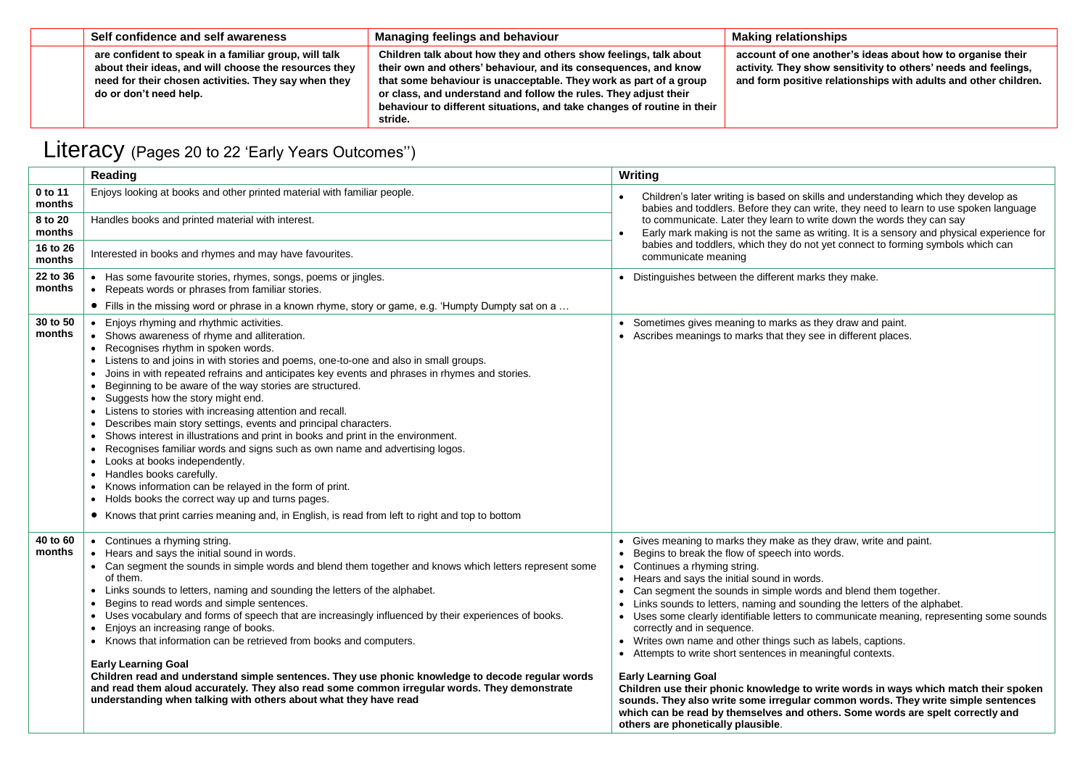| Self confidence and self awareness                                                                                                                                                               | <b>Managing feelings and behaviour</b>                                                                                                                                                                                                                                                                                                                              | <b>Making relationships</b>                                                                                                                                                                     |
|--------------------------------------------------------------------------------------------------------------------------------------------------------------------------------------------------|---------------------------------------------------------------------------------------------------------------------------------------------------------------------------------------------------------------------------------------------------------------------------------------------------------------------------------------------------------------------|-------------------------------------------------------------------------------------------------------------------------------------------------------------------------------------------------|
| are confident to speak in a familiar group, will talk<br>about their ideas, and will choose the resources they<br>need for their chosen activities. They say when they<br>do or don't need help. | Children talk about how they and others show feelings, talk about<br>their own and others' behaviour, and its consequences, and know<br>that some behaviour is unacceptable. They work as part of a group<br>or class, and understand and follow the rules. They adjust their<br>behaviour to different situations, and take changes of routine in their<br>stride. | account of one another's ideas about how to organise their<br>activity. They show sensitivity to others' needs and feelings,<br>and form positive relationships with adults and other children. |

# Literacy (Pages 20 to 22 'Early Years Outcomes")

|                    | Reading                                                                                                                                                                                                                                                                                                                                                                                                                                                                                                                                                                                                                                                                                                                                                                                                                                                                                                                                                                                                                                                                                                                                                | Writing                                                                                                                                                                                                                                                                                                                                                                                                                                                                                                                                                                                                                                                                                                                                                                                                                                                                                                                                     |
|--------------------|--------------------------------------------------------------------------------------------------------------------------------------------------------------------------------------------------------------------------------------------------------------------------------------------------------------------------------------------------------------------------------------------------------------------------------------------------------------------------------------------------------------------------------------------------------------------------------------------------------------------------------------------------------------------------------------------------------------------------------------------------------------------------------------------------------------------------------------------------------------------------------------------------------------------------------------------------------------------------------------------------------------------------------------------------------------------------------------------------------------------------------------------------------|---------------------------------------------------------------------------------------------------------------------------------------------------------------------------------------------------------------------------------------------------------------------------------------------------------------------------------------------------------------------------------------------------------------------------------------------------------------------------------------------------------------------------------------------------------------------------------------------------------------------------------------------------------------------------------------------------------------------------------------------------------------------------------------------------------------------------------------------------------------------------------------------------------------------------------------------|
| 0 to 11<br>months  | Enjoys looking at books and other printed material with familiar people.                                                                                                                                                                                                                                                                                                                                                                                                                                                                                                                                                                                                                                                                                                                                                                                                                                                                                                                                                                                                                                                                               | Children's later writing is based on skills and understanding which they develop as<br>babies and toddlers. Before they can write, they need to learn to use spoken language                                                                                                                                                                                                                                                                                                                                                                                                                                                                                                                                                                                                                                                                                                                                                                |
| 8 to 20<br>months  | Handles books and printed material with interest.                                                                                                                                                                                                                                                                                                                                                                                                                                                                                                                                                                                                                                                                                                                                                                                                                                                                                                                                                                                                                                                                                                      | to communicate. Later they learn to write down the words they can say<br>Early mark making is not the same as writing. It is a sensory and physical experience for                                                                                                                                                                                                                                                                                                                                                                                                                                                                                                                                                                                                                                                                                                                                                                          |
| 16 to 26<br>months | Interested in books and rhymes and may have favourites.                                                                                                                                                                                                                                                                                                                                                                                                                                                                                                                                                                                                                                                                                                                                                                                                                                                                                                                                                                                                                                                                                                | babies and toddlers, which they do not yet connect to forming symbols which can<br>communicate meaning                                                                                                                                                                                                                                                                                                                                                                                                                                                                                                                                                                                                                                                                                                                                                                                                                                      |
| 22 to 36<br>months | • Has some favourite stories, rhymes, songs, poems or jingles.<br>Repeats words or phrases from familiar stories.<br>$\bullet$                                                                                                                                                                                                                                                                                                                                                                                                                                                                                                                                                                                                                                                                                                                                                                                                                                                                                                                                                                                                                         | • Distinguishes between the different marks they make.                                                                                                                                                                                                                                                                                                                                                                                                                                                                                                                                                                                                                                                                                                                                                                                                                                                                                      |
|                    | • Fills in the missing word or phrase in a known rhyme, story or game, e.g. 'Humpty Dumpty sat on a                                                                                                                                                                                                                                                                                                                                                                                                                                                                                                                                                                                                                                                                                                                                                                                                                                                                                                                                                                                                                                                    |                                                                                                                                                                                                                                                                                                                                                                                                                                                                                                                                                                                                                                                                                                                                                                                                                                                                                                                                             |
| 30 to 50<br>months | Enjoys rhyming and rhythmic activities.<br>Shows awareness of rhyme and alliteration.<br>$\bullet$<br>• Recognises rhythm in spoken words.<br>Listens to and joins in with stories and poems, one-to-one and also in small groups.<br>$\bullet$<br>Joins in with repeated refrains and anticipates key events and phrases in rhymes and stories.<br>Beginning to be aware of the way stories are structured.<br>$\bullet$<br>Suggests how the story might end.<br>$\bullet$<br>Listens to stories with increasing attention and recall.<br>$\bullet$<br>Describes main story settings, events and principal characters.<br>$\bullet$<br>Shows interest in illustrations and print in books and print in the environment.<br>$\bullet$<br>Recognises familiar words and signs such as own name and advertising logos.<br>$\bullet$<br>Looks at books independently.<br>$\bullet$<br>Handles books carefully.<br>$\bullet$<br>Knows information can be relayed in the form of print.<br>Holds books the correct way up and turns pages.<br>$\bullet$<br>• Knows that print carries meaning and, in English, is read from left to right and top to bottom | • Sometimes gives meaning to marks as they draw and paint.<br>• Ascribes meanings to marks that they see in different places.                                                                                                                                                                                                                                                                                                                                                                                                                                                                                                                                                                                                                                                                                                                                                                                                               |
| 40 to 60<br>months | Continues a rhyming string.<br>Hears and says the initial sound in words.<br>• Can segment the sounds in simple words and blend them together and knows which letters represent some<br>of them.<br>Links sounds to letters, naming and sounding the letters of the alphabet.<br>$\bullet$<br>Begins to read words and simple sentences.<br>٠<br>Uses vocabulary and forms of speech that are increasingly influenced by their experiences of books.<br>$\bullet$<br>Enjoys an increasing range of books.<br>$\bullet$<br>• Knows that information can be retrieved from books and computers.<br><b>Early Learning Goal</b><br>Children read and understand simple sentences. They use phonic knowledge to decode regular words<br>and read them aloud accurately. They also read some common irregular words. They demonstrate<br>understanding when talking with others about what they have read                                                                                                                                                                                                                                                    | • Gives meaning to marks they make as they draw, write and paint.<br>Begins to break the flow of speech into words.<br>• Continues a rhyming string.<br>Hears and says the initial sound in words.<br>Can segment the sounds in simple words and blend them together.<br>Links sounds to letters, naming and sounding the letters of the alphabet.<br>Uses some clearly identifiable letters to communicate meaning, representing some sounds<br>correctly and in sequence.<br>• Writes own name and other things such as labels, captions.<br>• Attempts to write short sentences in meaningful contexts.<br><b>Early Learning Goal</b><br>Children use their phonic knowledge to write words in ways which match their spoken<br>sounds. They also write some irregular common words. They write simple sentences<br>which can be read by themselves and others. Some words are spelt correctly and<br>others are phonetically plausible. |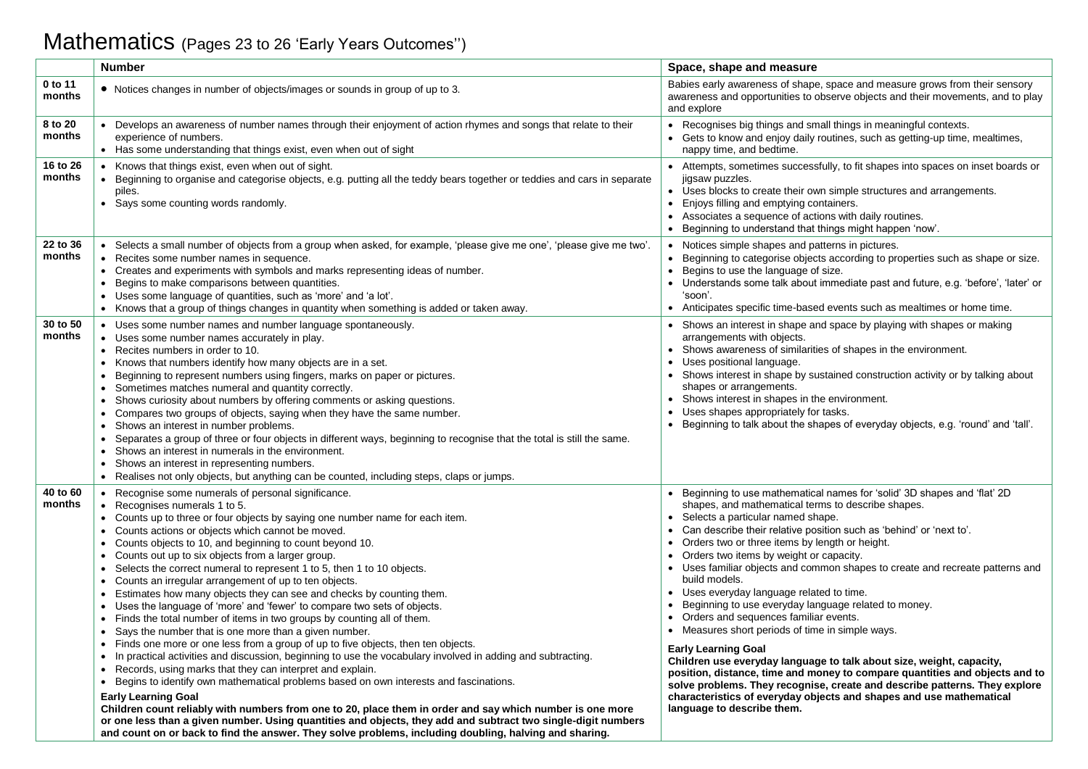# Mathematics (Pages 23 to 26 'Early Years Outcomes'')

|                    | <b>Number</b>                                                                                                                                                                                                                                                                                                                                                                                                                                                                                                                                                                                                                                                                                                                                                                                                                                                                                                                                                                                                                                                                                                                                                                                                                                                                                                                                                                                                                                                                                                             | Space, shape and measure                                                                                                                                                                                                                                                                                                                                                                                                                                                                                                                                                                                                                                                                                                                                                                                                                                                                                                                                                                                                              |
|--------------------|---------------------------------------------------------------------------------------------------------------------------------------------------------------------------------------------------------------------------------------------------------------------------------------------------------------------------------------------------------------------------------------------------------------------------------------------------------------------------------------------------------------------------------------------------------------------------------------------------------------------------------------------------------------------------------------------------------------------------------------------------------------------------------------------------------------------------------------------------------------------------------------------------------------------------------------------------------------------------------------------------------------------------------------------------------------------------------------------------------------------------------------------------------------------------------------------------------------------------------------------------------------------------------------------------------------------------------------------------------------------------------------------------------------------------------------------------------------------------------------------------------------------------|---------------------------------------------------------------------------------------------------------------------------------------------------------------------------------------------------------------------------------------------------------------------------------------------------------------------------------------------------------------------------------------------------------------------------------------------------------------------------------------------------------------------------------------------------------------------------------------------------------------------------------------------------------------------------------------------------------------------------------------------------------------------------------------------------------------------------------------------------------------------------------------------------------------------------------------------------------------------------------------------------------------------------------------|
| 0 to 11<br>months  | • Notices changes in number of objects/images or sounds in group of up to 3.                                                                                                                                                                                                                                                                                                                                                                                                                                                                                                                                                                                                                                                                                                                                                                                                                                                                                                                                                                                                                                                                                                                                                                                                                                                                                                                                                                                                                                              | Babies early awareness of shape, space and measure grows from their sensory<br>awareness and opportunities to observe objects and their movements, and to play<br>and explore                                                                                                                                                                                                                                                                                                                                                                                                                                                                                                                                                                                                                                                                                                                                                                                                                                                         |
| 8 to 20<br>months  | • Develops an awareness of number names through their enjoyment of action rhymes and songs that relate to their<br>experience of numbers.<br>• Has some understanding that things exist, even when out of sight                                                                                                                                                                                                                                                                                                                                                                                                                                                                                                                                                                                                                                                                                                                                                                                                                                                                                                                                                                                                                                                                                                                                                                                                                                                                                                           | • Recognises big things and small things in meaningful contexts.<br>• Gets to know and enjoy daily routines, such as getting-up time, mealtimes,<br>nappy time, and bedtime.                                                                                                                                                                                                                                                                                                                                                                                                                                                                                                                                                                                                                                                                                                                                                                                                                                                          |
| 16 to 26<br>months | • Knows that things exist, even when out of sight.<br>• Beginning to organise and categorise objects, e.g. putting all the teddy bears together or teddies and cars in separate<br>piles.<br>• Says some counting words randomly.                                                                                                                                                                                                                                                                                                                                                                                                                                                                                                                                                                                                                                                                                                                                                                                                                                                                                                                                                                                                                                                                                                                                                                                                                                                                                         | Attempts, sometimes successfully, to fit shapes into spaces on inset boards or<br>$\bullet$<br>jigsaw puzzles.<br>Uses blocks to create their own simple structures and arrangements.<br>$\bullet$<br>Enjoys filling and emptying containers.<br>$\bullet$<br>• Associates a sequence of actions with daily routines.<br>Beginning to understand that things might happen 'now'.                                                                                                                                                                                                                                                                                                                                                                                                                                                                                                                                                                                                                                                      |
| 22 to 36<br>months | • Selects a small number of objects from a group when asked, for example, 'please give me one', 'please give me two'<br>• Recites some number names in sequence.<br>• Creates and experiments with symbols and marks representing ideas of number.<br>Begins to make comparisons between quantities.<br>• Uses some language of quantities, such as 'more' and 'a lot'.<br>• Knows that a group of things changes in quantity when something is added or taken away.                                                                                                                                                                                                                                                                                                                                                                                                                                                                                                                                                                                                                                                                                                                                                                                                                                                                                                                                                                                                                                                      | • Notices simple shapes and patterns in pictures.<br>Beginning to categorise objects according to properties such as shape or size.<br>$\bullet$<br>Begins to use the language of size.<br>$\bullet$<br>Understands some talk about immediate past and future, e.g. 'before', 'later' or<br>'soon'.<br>• Anticipates specific time-based events such as mealtimes or home time.                                                                                                                                                                                                                                                                                                                                                                                                                                                                                                                                                                                                                                                       |
| 30 to 50<br>months | • Uses some number names and number language spontaneously.<br>• Uses some number names accurately in play.<br>• Recites numbers in order to 10.<br>• Knows that numbers identify how many objects are in a set.<br>Beginning to represent numbers using fingers, marks on paper or pictures.<br>• Sometimes matches numeral and quantity correctly.<br>Shows curiosity about numbers by offering comments or asking questions.<br>Compares two groups of objects, saying when they have the same number.<br>$\bullet$<br>Shows an interest in number problems.<br>Separates a group of three or four objects in different ways, beginning to recognise that the total is still the same.<br>• Shows an interest in numerals in the environment.<br>• Shows an interest in representing numbers.<br>• Realises not only objects, but anything can be counted, including steps, claps or jumps.                                                                                                                                                                                                                                                                                                                                                                                                                                                                                                                                                                                                                            | • Shows an interest in shape and space by playing with shapes or making<br>arrangements with objects.<br>• Shows awareness of similarities of shapes in the environment.<br>Uses positional language.<br>Shows interest in shape by sustained construction activity or by talking about<br>$\bullet$<br>shapes or arrangements.<br>Shows interest in shapes in the environment.<br>Uses shapes appropriately for tasks.<br>$\bullet$<br>• Beginning to talk about the shapes of everyday objects, e.g. 'round' and 'tall'.                                                                                                                                                                                                                                                                                                                                                                                                                                                                                                            |
| 40 to 60<br>months | • Recognise some numerals of personal significance.<br>• Recognises numerals 1 to 5.<br>• Counts up to three or four objects by saying one number name for each item.<br>• Counts actions or objects which cannot be moved.<br>• Counts objects to 10, and beginning to count beyond 10.<br>• Counts out up to six objects from a larger group.<br>• Selects the correct numeral to represent 1 to 5, then 1 to 10 objects.<br>• Counts an irregular arrangement of up to ten objects.<br>Estimates how many objects they can see and checks by counting them.<br>• Uses the language of 'more' and 'fewer' to compare two sets of objects.<br>• Finds the total number of items in two groups by counting all of them.<br>• Says the number that is one more than a given number.<br>• Finds one more or one less from a group of up to five objects, then ten objects.<br>• In practical activities and discussion, beginning to use the vocabulary involved in adding and subtracting.<br>• Records, using marks that they can interpret and explain.<br>• Begins to identify own mathematical problems based on own interests and fascinations.<br><b>Early Learning Goal</b><br>Children count reliably with numbers from one to 20, place them in order and say which number is one more<br>or one less than a given number. Using quantities and objects, they add and subtract two single-digit numbers<br>and count on or back to find the answer. They solve problems, including doubling, halving and sharing. | Beginning to use mathematical names for 'solid' 3D shapes and 'flat' 2D<br>shapes, and mathematical terms to describe shapes.<br>• Selects a particular named shape.<br>Can describe their relative position such as 'behind' or 'next to'.<br>• Orders two or three items by length or height.<br>Orders two items by weight or capacity.<br>• Uses familiar objects and common shapes to create and recreate patterns and<br>build models.<br>• Uses everyday language related to time.<br>Beginning to use everyday language related to money.<br>$\bullet$<br>• Orders and sequences familiar events.<br>• Measures short periods of time in simple ways.<br><b>Early Learning Goal</b><br>Children use everyday language to talk about size, weight, capacity,<br>position, distance, time and money to compare quantities and objects and to<br>solve problems. They recognise, create and describe patterns. They explore<br>characteristics of everyday objects and shapes and use mathematical<br>language to describe them. |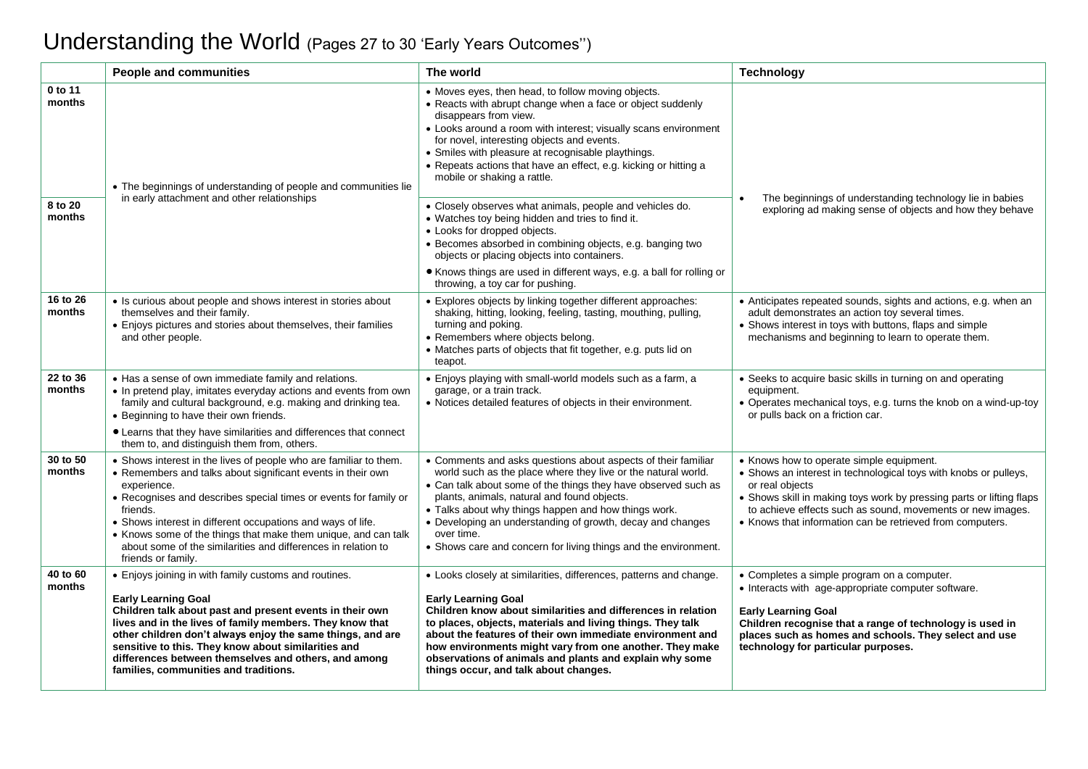# Understanding the World (Pages 27 to 30 'Early Years Outcomes'')

|                    | <b>People and communities</b>                                                                                                                                                                                                                                                                                                                                                                                                                           | The world                                                                                                                                                                                                                                                                                                                                                                                                                                                  | <b>Technology</b>                                                                                                                                                                                                                                                                                                                  |
|--------------------|---------------------------------------------------------------------------------------------------------------------------------------------------------------------------------------------------------------------------------------------------------------------------------------------------------------------------------------------------------------------------------------------------------------------------------------------------------|------------------------------------------------------------------------------------------------------------------------------------------------------------------------------------------------------------------------------------------------------------------------------------------------------------------------------------------------------------------------------------------------------------------------------------------------------------|------------------------------------------------------------------------------------------------------------------------------------------------------------------------------------------------------------------------------------------------------------------------------------------------------------------------------------|
| 0 to 11<br>months  | • The beginnings of understanding of people and communities lie                                                                                                                                                                                                                                                                                                                                                                                         | • Moves eyes, then head, to follow moving objects.<br>• Reacts with abrupt change when a face or object suddenly<br>disappears from view.<br>• Looks around a room with interest; visually scans environment<br>for novel, interesting objects and events.<br>• Smiles with pleasure at recognisable playthings.<br>• Repeats actions that have an effect, e.g. kicking or hitting a<br>mobile or shaking a rattle.                                        |                                                                                                                                                                                                                                                                                                                                    |
| 8 to 20<br>months  | in early attachment and other relationships                                                                                                                                                                                                                                                                                                                                                                                                             | • Closely observes what animals, people and vehicles do.<br>• Watches toy being hidden and tries to find it.<br>• Looks for dropped objects.<br>• Becomes absorbed in combining objects, e.g. banging two<br>objects or placing objects into containers.<br>• Knows things are used in different ways, e.g. a ball for rolling or                                                                                                                          | The beginnings of understanding technology lie in babies<br>exploring ad making sense of objects and how they behave                                                                                                                                                                                                               |
|                    |                                                                                                                                                                                                                                                                                                                                                                                                                                                         | throwing, a toy car for pushing.                                                                                                                                                                                                                                                                                                                                                                                                                           |                                                                                                                                                                                                                                                                                                                                    |
| 16 to 26<br>months | • Is curious about people and shows interest in stories about<br>themselves and their family.<br>• Enjoys pictures and stories about themselves, their families<br>and other people.                                                                                                                                                                                                                                                                    | • Explores objects by linking together different approaches:<br>shaking, hitting, looking, feeling, tasting, mouthing, pulling,<br>turning and poking.<br>• Remembers where objects belong.<br>• Matches parts of objects that fit together, e.g. puts lid on<br>teapot.                                                                                                                                                                                   | • Anticipates repeated sounds, sights and actions, e.g. when an<br>adult demonstrates an action toy several times.<br>• Shows interest in toys with buttons, flaps and simple<br>mechanisms and beginning to learn to operate them.                                                                                                |
| 22 to 36<br>months | • Has a sense of own immediate family and relations.<br>• In pretend play, imitates everyday actions and events from own<br>family and cultural background, e.g. making and drinking tea.<br>• Beginning to have their own friends.<br>• Learns that they have similarities and differences that connect<br>them to, and distinguish them from, others.                                                                                                 | • Enjoys playing with small-world models such as a farm, a<br>garage, or a train track.<br>• Notices detailed features of objects in their environment.                                                                                                                                                                                                                                                                                                    | • Seeks to acquire basic skills in turning on and operating<br>equipment.<br>• Operates mechanical toys, e.g. turns the knob on a wind-up-toy<br>or pulls back on a friction car.                                                                                                                                                  |
| 30 to 50<br>months | • Shows interest in the lives of people who are familiar to them.<br>• Remembers and talks about significant events in their own<br>experience.<br>• Recognises and describes special times or events for family or<br>friends.<br>• Shows interest in different occupations and ways of life.<br>• Knows some of the things that make them unique, and can talk<br>about some of the similarities and differences in relation to<br>friends or family. | • Comments and asks questions about aspects of their familiar<br>world such as the place where they live or the natural world.<br>• Can talk about some of the things they have observed such as<br>plants, animals, natural and found objects.<br>• Talks about why things happen and how things work.<br>• Developing an understanding of growth, decay and changes<br>over time.<br>• Shows care and concern for living things and the environment.     | • Knows how to operate simple equipment.<br>• Shows an interest in technological toys with knobs or pulleys,<br>or real objects<br>• Shows skill in making toys work by pressing parts or lifting flaps<br>to achieve effects such as sound, movements or new images.<br>• Knows that information can be retrieved from computers. |
| 40 to 60<br>months | • Enjoys joining in with family customs and routines.<br><b>Early Learning Goal</b><br>Children talk about past and present events in their own<br>lives and in the lives of family members. They know that<br>other children don't always enjoy the same things, and are<br>sensitive to this. They know about similarities and<br>differences between themselves and others, and among<br>families, communities and traditions.                       | • Looks closely at similarities, differences, patterns and change.<br><b>Early Learning Goal</b><br>Children know about similarities and differences in relation<br>to places, objects, materials and living things. They talk<br>about the features of their own immediate environment and<br>how environments might vary from one another. They make<br>observations of animals and plants and explain why some<br>things occur, and talk about changes. | • Completes a simple program on a computer.<br>• Interacts with age-appropriate computer software.<br><b>Early Learning Goal</b><br>Children recognise that a range of technology is used in<br>places such as homes and schools. They select and use<br>technology for particular purposes.                                       |